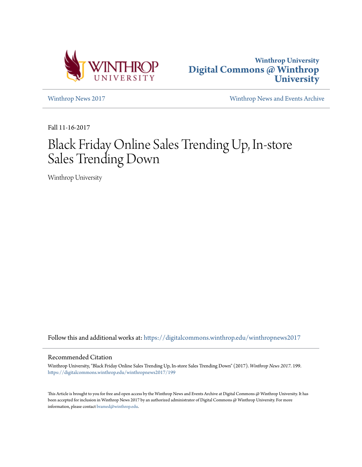



[Winthrop News 2017](https://digitalcommons.winthrop.edu/winthropnews2017?utm_source=digitalcommons.winthrop.edu%2Fwinthropnews2017%2F199&utm_medium=PDF&utm_campaign=PDFCoverPages) [Winthrop News and Events Archive](https://digitalcommons.winthrop.edu/winthropnewsarchives?utm_source=digitalcommons.winthrop.edu%2Fwinthropnews2017%2F199&utm_medium=PDF&utm_campaign=PDFCoverPages)

Fall 11-16-2017

# Black Friday Online Sales Trending Up, In-store Sales Trending Down

Winthrop University

Follow this and additional works at: [https://digitalcommons.winthrop.edu/winthropnews2017](https://digitalcommons.winthrop.edu/winthropnews2017?utm_source=digitalcommons.winthrop.edu%2Fwinthropnews2017%2F199&utm_medium=PDF&utm_campaign=PDFCoverPages)

#### Recommended Citation

Winthrop University, "Black Friday Online Sales Trending Up, In-store Sales Trending Down" (2017). *Winthrop News 2017*. 199. [https://digitalcommons.winthrop.edu/winthropnews2017/199](https://digitalcommons.winthrop.edu/winthropnews2017/199?utm_source=digitalcommons.winthrop.edu%2Fwinthropnews2017%2F199&utm_medium=PDF&utm_campaign=PDFCoverPages)

This Article is brought to you for free and open access by the Winthrop News and Events Archive at Digital Commons @ Winthrop University. It has been accepted for inclusion in Winthrop News 2017 by an authorized administrator of Digital Commons @ Winthrop University. For more information, please contact [bramed@winthrop.edu](mailto:bramed@winthrop.edu).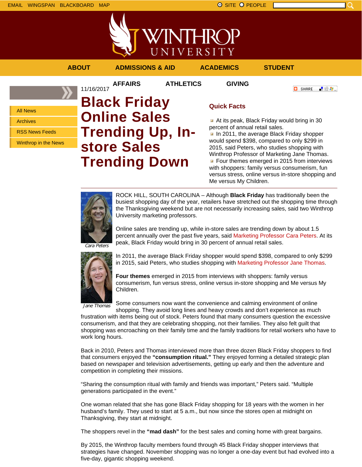

**AFFAIRS ATHLETICS GIVING**

**ABOUT ADMISSIONS & AID ACADEMICS STUDENT**

**O** SHARE

「验費」

All News Archives RSS News Feeds Winthrop in the News

## 11/16/2017 **Black Friday Online Sales Trending Up, Instore Sales Trending Down**

### **Quick Facts**

At its peak, Black Friday would bring in 30 percent of annual retail sales.

In 2011, the average Black Friday shopper would spend \$398, compared to only \$299 in 2015, said Peters, who studies shopping with Winthrop Professor of Marketing Jane Thomas. **Four themes emerged in 2015 from interviews** with shoppers: family versus consumerism, fun versus stress, online versus in-store shopping and Me versus My Children.



ROCK HILL, SOUTH CAROLINA – Although **Black Friday** has traditionally been the busiest shopping day of the year, retailers have stretched out the shopping time through the Thanksgiving weekend but are not necessarily increasing sales, said two Winthrop University marketing professors.

Online sales are trending up, while in-store sales are trending down by about 1.5 percent annually over the past five years, said Marketing Professor Cara Peters. At its peak, Black Friday would bring in 30 percent of annual retail sales.

Cara Peters



In 2011, the average Black Friday shopper would spend \$398, compared to only \$299 in 2015, said Peters, who studies shopping with Marketing Professor Jane Thomas.

**Four themes** emerged in 2015 from interviews with shoppers: family versus consumerism, fun versus stress, online versus in-store shopping and Me versus My Children.

Jane Thomas

Some consumers now want the convenience and calming environment of online

shopping. They avoid long lines and heavy crowds and don't experience as much frustration with items being out of stock. Peters found that many consumers question the excessive consumerism, and that they are celebrating shopping, not their families. They also felt guilt that shopping was encroaching on their family time and the family traditions for retail workers who have to work long hours.

Back in 2010, Peters and Thomas interviewed more than three dozen Black Friday shoppers to find that consumers enjoyed the **"consumption ritual."** They enjoyed forming a detailed strategic plan based on newspaper and television advertisements, getting up early and then the adventure and competition in completing their missions.

"Sharing the consumption ritual with family and friends was important," Peters said. "Multiple generations participated in the event."

One woman related that she has gone Black Friday shopping for 18 years with the women in her husband's family. They used to start at 5 a.m., but now since the stores open at midnight on Thanksgiving, they start at midnight.

The shoppers revel in the **"mad dash"** for the best sales and coming home with great bargains.

By 2015, the Winthrop faculty members found through 45 Black Friday shopper interviews that strategies have changed. November shopping was no longer a one-day event but had evolved into a five-day, gigantic shopping weekend.